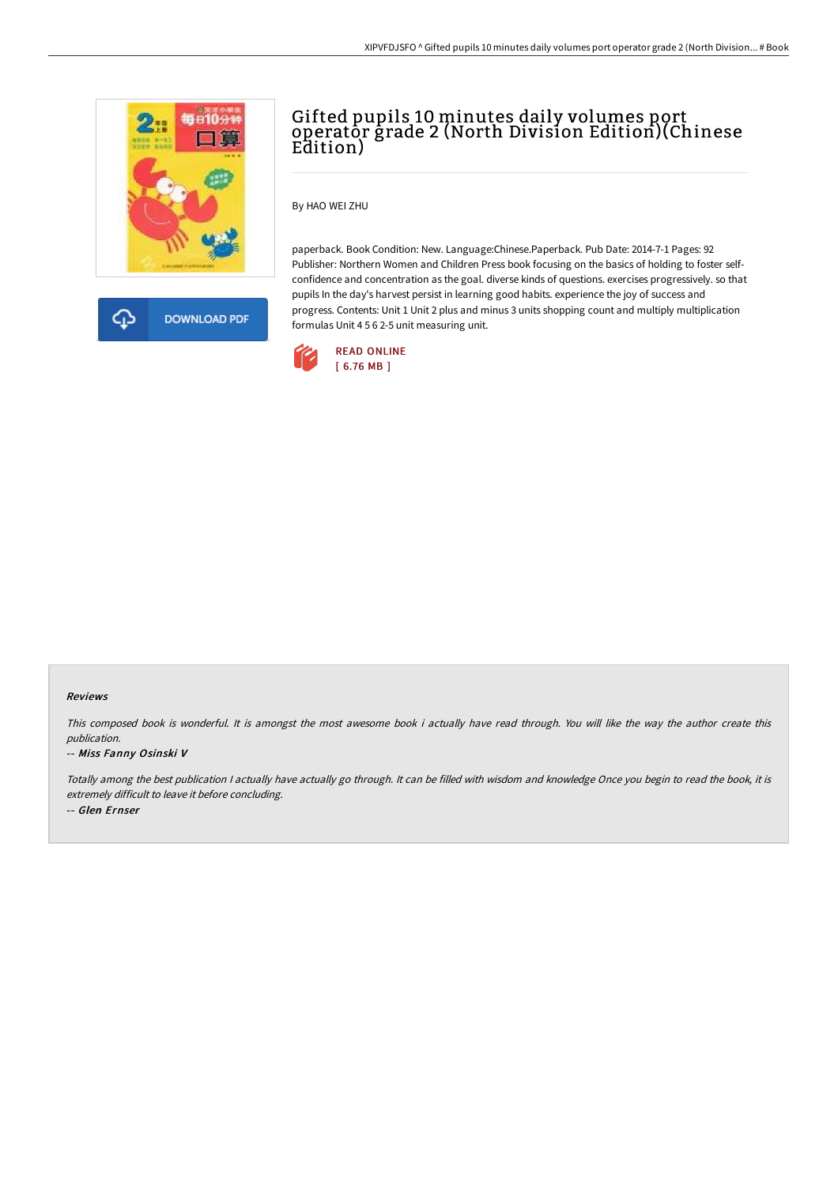

**DOWNLOAD PDF** क़

# Gifted pupils 10 minutes daily volumes port operator grade 2 (North Division Edition)(Chinese Edition)

By HAO WEI ZHU

paperback. Book Condition: New. Language:Chinese.Paperback. Pub Date: 2014-7-1 Pages: 92 Publisher: Northern Women and Children Press book focusing on the basics of holding to foster selfconfidence and concentration as the goal. diverse kinds of questions. exercises progressively. so that pupils In the day's harvest persist in learning good habits. experience the joy of success and progress. Contents: Unit 1 Unit 2 plus and minus 3 units shopping count and multiply multiplication formulas Unit 4 5 6 2-5 unit measuring unit.



#### Reviews

This composed book is wonderful. It is amongst the most awesome book i actually have read through. You will like the way the author create this publication.

### -- Miss Fanny Osinski V

Totally among the best publication <sup>I</sup> actually have actually go through. It can be filled with wisdom and knowledge Once you begin to read the book, it is extremely difficult to leave it before concluding. -- Glen Ernser